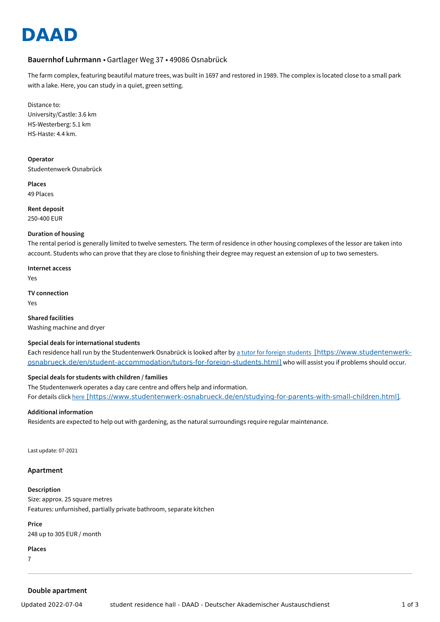# **DAAD**

# **Bauernhof Luhrmann** • Gartlager Weg 37 • 49086 Osnabrück

The farm complex, featuring beautiful mature trees, was built in 1697 and restored in 1989. The complex is located close to a small park with a lake. Here, you can study in a quiet, green setting.

Distance to: University/Castle: 3.6 km HS-Westerberg: 5.1 km HS-Haste: 4.4 km.

**Operator** Studentenwerk Osnabrück

**Places** 49 Places

**Rent deposit** 250-400 EUR

#### **Duration of housing**

The rental period is generally limited to twelve semesters. The term of residence in other housing complexes of the lessor are taken into account. Students who can prove that they are close to finishing their degree may request an extension of up to two semesters.

**Internet access** Yes

**TV connection** Yes

**Shared facilities** Washing machine and dryer

## **Special deals for international students**

Each residence hall run by the Studentenwerk Osnabrück is looked after by a tutor for foreign students [https://www.studentenwerk[osnabrueck.de/en/student-accommodation/tutors-for-foreign-students.html\]](https://www.studentenwerk-osnabrueck.de/en/student-accommodation/tutors-for-foreign-students.html) who will assist you if problems should occur.

## **Special deals for students with children / families**

The Studentenwerk operates a day care centre and offers help and information. For details click here [\[https://www.studentenwerk-osnabrueck.de/en/studying-for-parents-with-small-children.html\]](https://www.studentenwerk-osnabrueck.de/en/studying-for-parents-with-small-children.html).

## **Additional information**

Residents are expected to help out with gardening, as the natural surroundings require regular maintenance.

Last update: 07-2021

#### **Apartment**

**Description** Size: approx. 25 square metres

Features: unfurnished, partially private bathroom, separate kitchen

**Price** 248 up to 305 EUR / month

**Places**

7

## **Double apartment**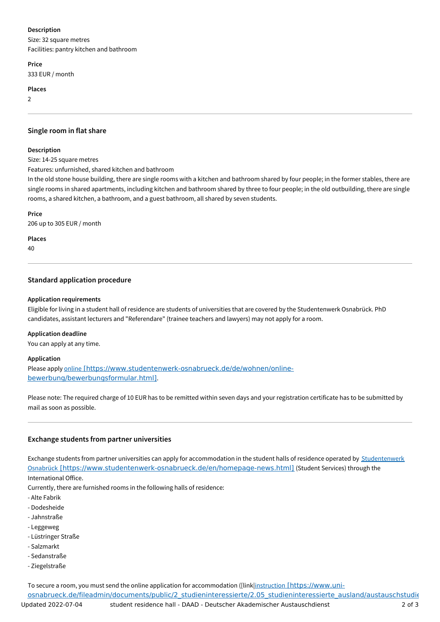# **Description**

Size: 32 square metres Facilities: pantry kitchen and bathroom

**Price**

333 EUR / month

# **Places**

2

# **Single room in flat share**

### **Description**

Size: 14-25 square metres

Features: unfurnished, shared kitchen and bathroom

In the old stone house building, there are single rooms with a kitchen and bathroom shared by four people; in the former stables, there are single rooms in shared apartments, including kitchen and bathroom shared by three to four people; in the old outbuilding, there are single rooms, a shared kitchen, a bathroom, and a guest bathroom, all shared by seven students.

### **Price**

206 up to 305 EUR / month

**Places**

40

# **Standard application procedure**

## **Application requirements**

Eligible for living in a student hall of residence are students of universities that are covered by the Studentenwerk Osnabrück. PhD candidates, assistant lecturers and "Referendare" (trainee teachers and lawyers) may not apply for a room.

## **Application deadline**

You can apply at any time.

## **Application**

Please apply online [\[https://www.studentenwerk-osnabrueck.de/de/wohnen/online](https://www.studentenwerk-osnabrueck.de/de/wohnen/online-bewerbung/bewerbungsformular.html)bewerbung/bewerbungsformular.html].

Please note: The required charge of 10 EUR has to be remitted within seven days and your registration certificate has to be submitted by mail as soon as possible.

# **Exchange students from partner universities**

Exchange students from partner universities can apply for accommodation in the student halls of residence operated by Studentenwerk Osnabrück [\[https://www.studentenwerk-osnabrueck.de/en/homepage-news.html\]](https://www.studentenwerk-osnabrueck.de/en/homepage-news.html) (Student Services) through the International Office.

Currently, there are furnished rooms in the following halls of residence:

- Alte Fabrik
- Dodesheide
- Jahnstraße
- Leggeweg
- Lüstringer Straße
- Salzmarkt
- Sedanstraße
- Ziegelstraße

To secure a room, you must send the online application for accommodation ([link|instruction [https://www.uni-

osnabrueck.de/fileadmin/documents/public/2\_studieninteressierte/2.05\_studieninteressierte\_ausland/austauschstudie Updated 2022-07-04 student residence hall - DAAD - Deutscher Akademischer Austauschdienst 2 of 3